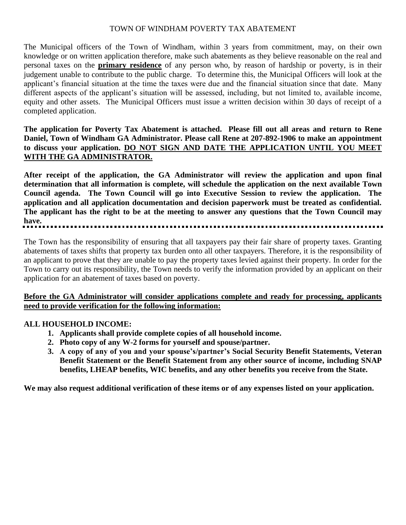# TOWN OF WINDHAM POVERTY TAX ABATEMENT

The Municipal officers of the Town of Windham, within 3 years from commitment, may, on their own knowledge or on written application therefore, make such abatements as they believe reasonable on the real and personal taxes on the **primary residence** of any person who, by reason of hardship or poverty, is in their judgement unable to contribute to the public charge. To determine this, the Municipal Officers will look at the applicant's financial situation at the time the taxes were due and the financial situation since that date. Many different aspects of the applicant's situation will be assessed, including, but not limited to, available income, equity and other assets. The Municipal Officers must issue a written decision within 30 days of receipt of a completed application.

**The application for Poverty Tax Abatement is attached. Please fill out all areas and return to Rene Daniel, Town of Windham GA Administrator. Please call Rene at 207-892-1906 to make an appointment to discuss your application. DO NOT SIGN AND DATE THE APPLICATION UNTIL YOU MEET WITH THE GA ADMINISTRATOR.**

**After receipt of the application, the GA Administrator will review the application and upon final determination that all information is complete, will schedule the application on the next available Town Council agenda. The Town Council will go into Executive Session to review the application. The application and all application documentation and decision paperwork must be treated as confidential. The applicant has the right to be at the meeting to answer any questions that the Town Council may have.**

The Town has the responsibility of ensuring that all taxpayers pay their fair share of property taxes. Granting abatements of taxes shifts that property tax burden onto all other taxpayers. Therefore, it is the responsibility of an applicant to prove that they are unable to pay the property taxes levied against their property. In order for the Town to carry out its responsibility, the Town needs to verify the information provided by an applicant on their application for an abatement of taxes based on poverty.

# **Before the GA Administrator will consider applications complete and ready for processing, applicants need to provide verification for the following information:**

# **ALL HOUSEHOLD INCOME:**

- **1. Applicants shall provide complete copies of all household income.**
- **2. Photo copy of any W-2 forms for yourself and spouse/partner.**
- **3. A copy of any of you and your spouse's/partner's Social Security Benefit Statements, Veteran Benefit Statement or the Benefit Statement from any other source of income, including SNAP benefits, LHEAP benefits, WIC benefits, and any other benefits you receive from the State.**

**We may also request additional verification of these items or of any expenses listed on your application.**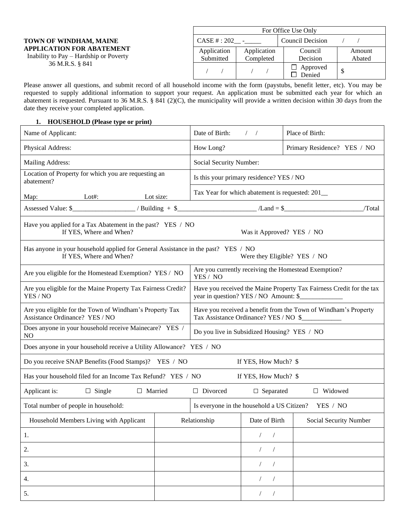|                                                                                                                         | For Office Use Only      |                          |                     |                  |  |  |
|-------------------------------------------------------------------------------------------------------------------------|--------------------------|--------------------------|---------------------|------------------|--|--|
| TOWN OF WINDHAM, MAINE<br><b>APPLICATION FOR ABATEMENT</b><br>Inability to Pay – Hardship or Poverty<br>36 M.R.S. § 841 | CASE #: 202              | $\sim$                   | Council Decision    |                  |  |  |
|                                                                                                                         | Application<br>Submitted | Application<br>Completed | Council<br>Decision | Amount<br>Abated |  |  |
|                                                                                                                         |                          |                          | Approved<br>Denied  |                  |  |  |

Please answer all questions, and submit record of all household income with the form (paystubs, benefit letter, etc). You may be requested to supply additional information to support your request. An application must be submitted each year for which an abatement is requested. Pursuant to 36 M.R.S. § 841 (2)(C), the municipality will provide a written decision within 30 days from the date they receive your completed application.

### **1. HOUSEHOLD (Please type or print)**

| Name of Applicant:                                                                                                                                                                                                                                                                                                |                                                                                                               | Date of Birth:                                         | $\frac{1}{2}$             | Place of Birth:                                      |  |  |
|-------------------------------------------------------------------------------------------------------------------------------------------------------------------------------------------------------------------------------------------------------------------------------------------------------------------|---------------------------------------------------------------------------------------------------------------|--------------------------------------------------------|---------------------------|------------------------------------------------------|--|--|
| Physical Address:                                                                                                                                                                                                                                                                                                 |                                                                                                               | How Long?                                              |                           | Primary Residence? YES / NO                          |  |  |
| Mailing Address:                                                                                                                                                                                                                                                                                                  |                                                                                                               | Social Security Number:                                |                           |                                                      |  |  |
| Location of Property for which you are requesting an<br>abatement?                                                                                                                                                                                                                                                |                                                                                                               | Is this your primary residence? YES / NO               |                           |                                                      |  |  |
| $Lot\#$ :<br>Map:                                                                                                                                                                                                                                                                                                 | Lot size:                                                                                                     | Tax Year for which abatement is requested: 201_        |                           |                                                      |  |  |
| Assessed Value: $\frac{1}{2}$ $\frac{1}{2}$ $\frac{1}{2}$ $\frac{1}{2}$ $\frac{1}{2}$ $\frac{1}{2}$ $\frac{1}{2}$ $\frac{1}{2}$ $\frac{1}{2}$ $\frac{1}{2}$ $\frac{1}{2}$ $\frac{1}{2}$ $\frac{1}{2}$ $\frac{1}{2}$ $\frac{1}{2}$ $\frac{1}{2}$ $\frac{1}{2}$ $\frac{1}{2}$ $\frac{1}{2}$ $\frac{1}{2}$ $\frac{1$ |                                                                                                               |                                                        |                           | /Total                                               |  |  |
| Have you applied for a Tax Abatement in the past? YES / NO<br>If YES, Where and When?                                                                                                                                                                                                                             |                                                                                                               |                                                        | Was it Approved? YES / NO |                                                      |  |  |
| Has anyone in your household applied for General Assistance in the past? YES / NO<br>If YES, Where and When?                                                                                                                                                                                                      |                                                                                                               |                                                        |                           | Were they Eligible? YES / NO                         |  |  |
| Are you eligible for the Homestead Exemption? YES / NO                                                                                                                                                                                                                                                            |                                                                                                               | YES / NO                                               |                           | Are you currently receiving the Homestead Exemption? |  |  |
| Are you eligible for the Maine Property Tax Fairness Credit?<br>YES / NO                                                                                                                                                                                                                                          | Have you received the Maine Property Tax Fairness Credit for the tax<br>year in question? YES / NO Amount: \$ |                                                        |                           |                                                      |  |  |
| Are you eligible for the Town of Windham's Property Tax<br>Assistance Ordinance? YES / NO                                                                                                                                                                                                                         | Have you received a benefit from the Town of Windham's Property<br>Tax Assistance Ordinance? YES / NO \$      |                                                        |                           |                                                      |  |  |
| Does anyone in your household receive Mainecare? YES /<br>NO.                                                                                                                                                                                                                                                     | Do you live in Subsidized Housing? YES / NO                                                                   |                                                        |                           |                                                      |  |  |
| Does anyone in your household receive a Utility Allowance? YES / NO                                                                                                                                                                                                                                               |                                                                                                               |                                                        |                           |                                                      |  |  |
| Do you receive SNAP Benefits (Food Stamps)? YES / NO                                                                                                                                                                                                                                                              |                                                                                                               |                                                        | If YES, How Much? \$      |                                                      |  |  |
| Has your household filed for an Income Tax Refund? YES / NO                                                                                                                                                                                                                                                       |                                                                                                               |                                                        | If YES, How Much? \$      |                                                      |  |  |
| $\Box$ Single<br>Applicant is:<br>$\Box$ Married                                                                                                                                                                                                                                                                  |                                                                                                               | $\Box$ Divorced                                        | $\Box$ Separated          | $\Box$ Widowed                                       |  |  |
| Total number of people in household:                                                                                                                                                                                                                                                                              |                                                                                                               | Is everyone in the household a US Citizen?<br>YES / NO |                           |                                                      |  |  |
| Household Members Living with Applicant                                                                                                                                                                                                                                                                           |                                                                                                               | Relationship                                           | Date of Birth             | Social Security Number                               |  |  |
| 1.                                                                                                                                                                                                                                                                                                                |                                                                                                               |                                                        |                           |                                                      |  |  |
| 2.                                                                                                                                                                                                                                                                                                                |                                                                                                               |                                                        | $\sqrt{2}$                |                                                      |  |  |
| 3.                                                                                                                                                                                                                                                                                                                |                                                                                                               |                                                        |                           |                                                      |  |  |
| 4.                                                                                                                                                                                                                                                                                                                |                                                                                                               |                                                        |                           |                                                      |  |  |
| 5.                                                                                                                                                                                                                                                                                                                |                                                                                                               |                                                        | $\sqrt{2}$<br>$\sqrt{ }$  |                                                      |  |  |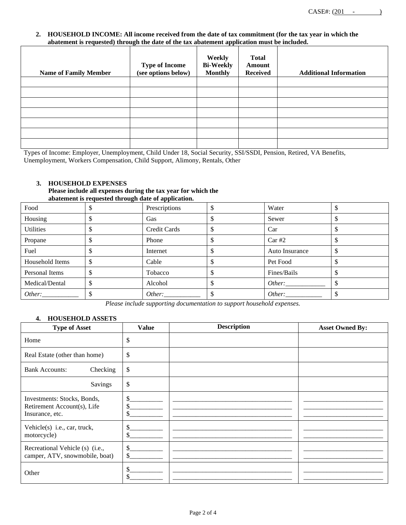#### **2. HOUSEHOLD INCOME: All income received from the date of tax commitment (for the tax year in which the abatement is requested) through the date of the tax abatement application must be included.**

| <b>Name of Family Member</b> | <b>Type of Income</b><br>(see options below) | Weekly<br><b>Bi-Weekly</b><br>Monthly | <b>Total</b><br>Amount<br><b>Received</b> | <b>Additional Information</b> |
|------------------------------|----------------------------------------------|---------------------------------------|-------------------------------------------|-------------------------------|
|                              |                                              |                                       |                                           |                               |
|                              |                                              |                                       |                                           |                               |
|                              |                                              |                                       |                                           |                               |
|                              |                                              |                                       |                                           |                               |
|                              |                                              |                                       |                                           |                               |
|                              |                                              |                                       |                                           |                               |
|                              |                                              |                                       |                                           |                               |

Types of Income: Employer, Unemployment, Child Under 18, Social Security, SSI/SSDI, Pension, Retired, VA Benefits, Unemployment, Workers Compensation, Child Support, Alimony, Rentals, Other

### **3. HOUSEHOLD EXPENSES**

#### **Please include all expenses during the tax year for which the abatement is requested through date of application.**

| Food             |   | Prescriptions | Water          | ◡  |
|------------------|---|---------------|----------------|----|
| Housing          |   | Gas           | Sewer          |    |
| <b>Utilities</b> |   | Credit Cards  | Car            |    |
| Propane          |   | Phone         | Car#2          |    |
| Fuel             |   | Internet      | Auto Insurance | ◡  |
| Household Items  | D | Cable         | Pet Food       | ◡  |
| Personal Items   |   | Tobacco       | Fines/Bails    | ۰D |
| Medical/Dental   |   | Alcohol       |                |    |
| Other:           |   | Other:        | Other:         |    |

*Please include supporting documentation to support household expenses.*

### **4. HOUSEHOLD ASSETS**

| <b>Type of Asset</b>                                                          | <b>Value</b>   | <b>Description</b> | <b>Asset Owned By:</b> |
|-------------------------------------------------------------------------------|----------------|--------------------|------------------------|
| Home                                                                          | \$             |                    |                        |
| Real Estate (other than home)                                                 | \$             |                    |                        |
| <b>Bank Accounts:</b><br>Checking                                             | \$             |                    |                        |
| Savings                                                                       | \$             |                    |                        |
| Investments: Stocks, Bonds,<br>Retirement Account(s), Life<br>Insurance, etc. | \$<br>\$<br>\$ |                    |                        |
| Vehicle(s) i.e., car, truck,<br>motorcycle)                                   | \$<br>\$       |                    |                        |
| Recreational Vehicle (s) (i.e.,<br>camper, ATV, snowmobile, boat)             | \$<br>\$       |                    |                        |
| Other                                                                         | \$<br>\$       |                    |                        |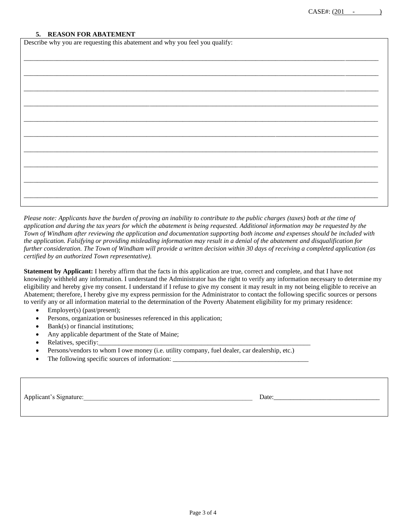#### **5. REASON FOR ABATEMENT**

| Describe why you are requesting this abatement and why you feel you qualify: |  |  |  |  |  |  |
|------------------------------------------------------------------------------|--|--|--|--|--|--|
|                                                                              |  |  |  |  |  |  |
|                                                                              |  |  |  |  |  |  |
|                                                                              |  |  |  |  |  |  |
|                                                                              |  |  |  |  |  |  |
|                                                                              |  |  |  |  |  |  |
|                                                                              |  |  |  |  |  |  |
|                                                                              |  |  |  |  |  |  |
|                                                                              |  |  |  |  |  |  |
|                                                                              |  |  |  |  |  |  |
|                                                                              |  |  |  |  |  |  |
|                                                                              |  |  |  |  |  |  |
|                                                                              |  |  |  |  |  |  |
|                                                                              |  |  |  |  |  |  |

*Please note: Applicants have the burden of proving an inability to contribute to the public charges (taxes) both at the time of application and during the tax years for which the abatement is being requested. Additional information may be requested by the Town of Windham after reviewing the application and documentation supporting both income and expenses should be included with the application. Falsifying or providing misleading information may result in a denial of the abatement and disqualification for further consideration. The Town of Windham will provide a written decision within 30 days of receiving a completed application (as certified by an authorized Town representative).* 

**Statement by Applicant:** I hereby affirm that the facts in this application are true, correct and complete, and that I have not knowingly withheld any information. I understand the Administrator has the right to verify any information necessary to determine my eligibility and hereby give my consent. I understand if I refuse to give my consent it may result in my not being eligible to receive an Abatement; therefore, I hereby give my express permission for the Administrator to contact the following specific sources or persons to verify any or all information material to the determination of the Poverty Abatement eligibility for my primary residence:

- Employer(s) (past/present);
- Persons, organization or businesses referenced in this application;
- Bank(s) or financial institutions;
- Any applicable department of the State of Maine;
- Relatives, specifiy:
- Persons/vendors to whom I owe money (i.e. utility company, fuel dealer, car dealership, etc.)
- The following specific sources of information:

Applicant's Signature:\_\_\_\_\_\_\_\_\_\_\_\_\_\_\_\_\_\_\_\_\_\_\_\_\_\_\_\_\_\_\_\_\_\_\_\_\_\_\_\_\_\_\_\_\_\_\_\_\_\_\_ Date:\_\_\_\_\_\_\_\_\_\_\_\_\_\_\_\_\_\_\_\_\_\_\_\_\_\_\_\_\_\_\_\_